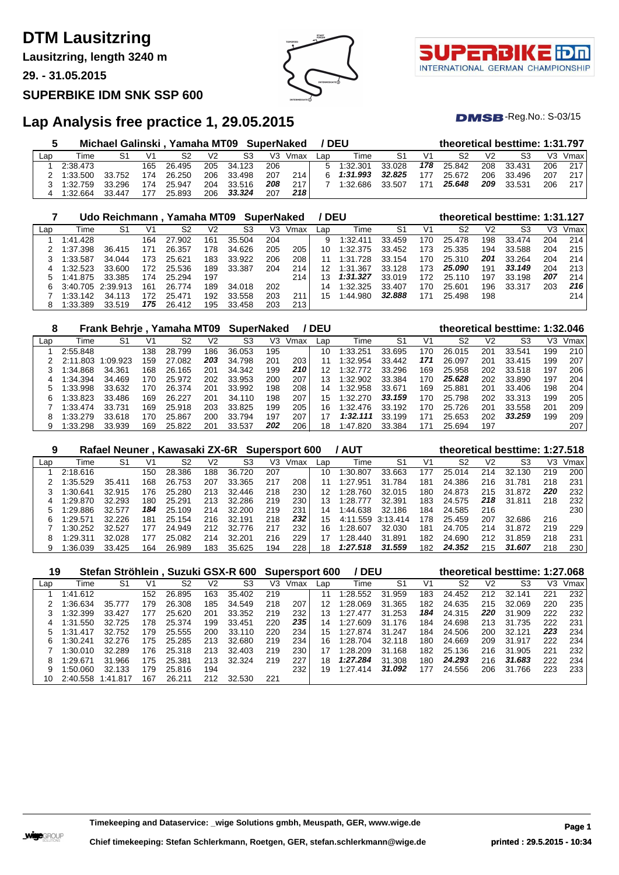# **DTM Lausitzring**

**Lausitzring, length 3240 m**

**29. - 31.05.2015**

### **SUPERBIKE IDM SNK SSP 600**





 $DMSB$ -Reg.No.:  $S-03/15$ 

## **Lap Analysis free practice 1, 29.05.2015**

|     |                    | Michael Galinski, Yamaha MT09 SuperNaked |     |        |                |            |     |                     | <b>/DEU</b> |            |        |                | theoretical besttime: 1:31.797 |                |        |     |      |
|-----|--------------------|------------------------------------------|-----|--------|----------------|------------|-----|---------------------|-------------|------------|--------|----------------|--------------------------------|----------------|--------|-----|------|
| Lap | Time               | S1                                       |     | S2     | V <sub>2</sub> | S3         |     | V <sub>3</sub> Vmax | Lap         | Time       | S1     | V <sub>1</sub> | S2                             | V <sub>2</sub> | S3     | V3. | Vmax |
|     | 2:38.473           |                                          | 165 | 26.495 |                | 205 34.123 | 206 |                     |             | 5 1:32.301 | 33.028 | 178            | 25.842                         | 208            | 33.431 | 206 | 217  |
|     | $2 \quad 1:33.500$ | 33.752                                   | 174 | 26.250 | 206            | 33.498     | 207 | 214                 |             | 6 1:31.993 | 32.825 | 177            | 25.672                         | 206            | 33.496 | 207 | 217  |
|     | 3 1:32.759         | 33.296                                   | 174 | 25.947 | 204            | 33.516     | 208 | 217                 |             | 1:32.686   | 33.507 | 171            | 25.648                         | 209            | 33.531 | 206 | 217  |
|     | 1:32.664           | 33.447                                   | 177 | 25.893 | 206            | 33.324     | 207 | 218                 |             |            |        |                |                                |                |        |     |      |

|     |                   | Udo Reichmann, Yamaha MT09 |     |        |     |        | <b>SuperNaked</b> |      | ' DEU |          |                |     | theoretical besttime: 1:31.127 |                |        |                |      |
|-----|-------------------|----------------------------|-----|--------|-----|--------|-------------------|------|-------|----------|----------------|-----|--------------------------------|----------------|--------|----------------|------|
| Lap | Time              | S1                         | V1  | S2     | V2  | S3     | V3.               | Vmax | Lap   | Гіmе     | S <sub>1</sub> | V1  | S2                             | V <sub>2</sub> | S3     | V <sub>3</sub> | Vmax |
|     | 1:41.428          |                            | 164 | 27.902 | 161 | 35.504 | 204               |      | 9     | 1:32.411 | 33.459         | 170 | 25.478                         | 198            | 33.474 | 204            | 214  |
|     | 1:37.398          | 36.415                     | 171 | 26.357 | 178 | 34.626 | 205               | 205  | 10    | 1:32.375 | 33.452         | 173 | 25.335                         | 194            | 33.588 | 204            | 215  |
|     | 1:33.587          | 34.044                     | 73  | 25.621 | 183 | 33.922 | 206               | 208  |       | 1:31.728 | 33.154         | 170 | 25.310                         | 201            | 33.264 | 204            | 214  |
|     | 1:32.523          | 33.600                     | 172 | 25.536 | 189 | 33.387 | 204               | 214  | 12    | 1:31.367 | 33.128         | 173 | 25.090                         | 191            | 33.149 | 204            | 213  |
|     | .875<br>141       | 33.385                     | 174 | 25.294 | 197 |        |                   | 214  | 13    | 1:31.327 | 33.019         | 172 | 25.110                         | 197            | 33.198 | 207            | 214  |
|     | 3:40.705 2:39.913 |                            | 161 | 26.774 | 189 | 34.018 | 202               |      | 14    | 1:32.325 | 33.407         | 170 | 25.601                         | 196            | 33.317 | 203            | 216  |
|     | 1:33.142          | 34.113                     | 72  | 25.471 | 192 | 33.558 | 203               | 211  | 15    | 1:44.980 | 32.888         | 171 | 25.498                         | 198            |        |                | 214  |
|     | 1:33.389          | 33.519                     | 175 | 26.412 | 195 | 33.458 | 203               | 213  |       |          |                |     |                                |                |        |                |      |

|     |              | Frank Behrje, Yamaha MT09 |     |        |     | <b>SuperNaked</b> |     |      | / DEU |             |        |                | theoretical besttime: 1:32.046 |                |        |     |      |
|-----|--------------|---------------------------|-----|--------|-----|-------------------|-----|------|-------|-------------|--------|----------------|--------------------------------|----------------|--------|-----|------|
| Lap | Time         | S1                        | V1  | S2     | V2  | S3                | V3  | Vmax | Lap   | Time        | S1     | V <sub>1</sub> | S2                             | V <sub>2</sub> | S3     | V3  | Vmax |
|     | 2:55.848     |                           | 138 | 28.799 | 186 | 36.053            | 195 |      | 10    | 1:33.251    | 33.695 | 170            | 26.015                         | 201            | 33.541 | 199 | 210  |
|     | .803<br>2.11 | 1:09.923                  | 159 | 27.082 | 203 | 34.798            | 201 | 203  |       | 1:32.954    | 33.442 | 171            | 26.097                         | 201            | 33.415 | 199 | 207  |
|     | 1:34.868     | 34.361                    | 168 | 26.165 | 201 | 34.342            | 199 | 210  | 12    | 1:32.772    | 33.296 | 169            | 25.958                         | 202            | 33.518 | 197 | 206  |
|     | 1:34.394     | 34.469                    | 170 | 25.972 | 202 | 33.953            | 200 | 207  | 13    | 1:32.902    | 33.384 | 170            | 25.628                         | 202            | 33.890 | 197 | 204  |
|     | 1:33.998     | 33.632                    | 170 | 26.374 | 201 | 33.992            | 198 | 208  | 14    | :32.958     | 33.671 | 169            | 25.881                         | 201            | 33.406 | 198 | 204  |
| 6.  | 1:33.823     | 33.486                    | 169 | 26.227 | 201 | 34.110            | 198 | 207  | 15    | 1:32.270    | 33.159 | 170            | 25.798                         | 202            | 33.313 | 199 | 205  |
|     | 1:33.474     | 33.731                    | 169 | 25.918 | 203 | 33.825            | 199 | 205  | 16    | 1:32.476    | 33.192 | 170            | 25.726                         | 201            | 33.558 | 201 | 209  |
| 8   | 1:33.279     | 33.618                    | 170 | 25.867 | 200 | 33.794            | 197 | 207  | 17    | 1:32.111    | 33.199 | 171            | 25.653                         | 202            | 33.259 | 199 | 209  |
|     | 1:33.298     | 33.939                    | 169 | 25.822 | 201 | 33.537            | 202 | 206  | 18    | ∶820<br>:47 | 33.384 | 171            | 25.694                         | 197            |        |     | 207  |

| 9   |          |        |     | Rafael Neuner, Kawasaki ZX-6R Supersport 600 |     |             |     |      |     | / AUT         |          |     |        |                | theoretical besttime: 1:27.518 |     |      |
|-----|----------|--------|-----|----------------------------------------------|-----|-------------|-----|------|-----|---------------|----------|-----|--------|----------------|--------------------------------|-----|------|
| Lap | Time     | S1     | V1  | S2                                           | V2  | S3          | V3  | Vmax | Lap | Time          | S1       | V1  | S2     | V <sub>2</sub> | S3                             | V3  | Vmax |
|     | 2:18.616 |        | 150 | 28.386                                       | 188 | 36.720      | 207 |      | 10  | 1:30.807      | 33.663   | 177 | 25.014 | 214            | 32.130                         | 219 | 200  |
|     | :35.529  | 35.411 | 168 | 26.753                                       | 207 | 33.365      | 217 | 208  |     | 1:27<br>.951  | 31.784   | 181 | 24.386 | 216            | 31<br>.781                     | 218 | 231  |
|     | :30.641  | 32.915 | 176 | 25.280                                       | 213 | 32.446      | 218 | 230  | 12  | 1:28.760      | 32.015   | 180 | 24.873 | 215            | 31.872                         | 220 | 232  |
|     | :29.870  | 32.293 | 180 | 25.291                                       | 213 | 32.286      | 219 | 230  | 13  | 1:28.<br>.777 | 32.391   | 183 | 24.575 | 218            | 31.811                         | 218 | 232  |
|     | :29.886  | 32.577 | 184 | 25.<br>.109                                  | 214 | 32.200      | 219 | 231  | 14  | 1:44.638      | 32.186   | 184 | 24.585 | 216            |                                |     | 230  |
|     | :29.571  | 32.226 | 181 | .154<br>25.                                  | 216 | .191<br>32. | 218 | 232  | 15  | 4:11.559      | 3:13.414 | 178 | 25.459 | 207            | 32.686                         | 216 |      |
|     | :30.252  | 32.527 | 177 | 24.949                                       | 212 | 32.776      | 217 | 232  | 16  | 1:28.607      | 32.030   | 181 | 24.705 | 214            | 31.872                         | 219 | 229  |
| 8   | 1:29.311 | 32.028 | 177 | 25.082                                       | 214 | 32.201      | 216 | 229  |     | 1:28.440      | 31.891   | 182 | 24.690 | 212            | 31.859                         | 218 | 231  |
| 9   | :36.039  | 33.425 | 164 | 26.989                                       | 183 | 35.625      | 194 | 228  | 18  | 1:27.518      | 31.559   | 182 | 24.352 | 215            | 31.607                         | 218 | 230  |

| 19  |               | Stefan Ströhlein, Suzuki GSX-R 600 |     |        |     |        |     | <b>Supersport 600</b> |     | / DEU    |                |     |                |     | theoretical besttime: 1:27.068 |     |      |
|-----|---------------|------------------------------------|-----|--------|-----|--------|-----|-----------------------|-----|----------|----------------|-----|----------------|-----|--------------------------------|-----|------|
| Lap | Time          | S <sub>1</sub>                     | V1  | S2     | V2  | S3     | V3  | Vmax                  | Lap | Time     | S <sub>1</sub> | V1  | S <sub>2</sub> | V2  | S <sub>3</sub>                 | VЗ  | Vmax |
|     | 1:41.612      |                                    | 152 | 26.895 | 163 | 35.402 | 219 |                       | 11  | 1:28.552 | 31.959         | 183 | 24.452         | 212 | 32.141                         | 221 | 232  |
|     | :36.634       | 35.777                             | 179 | 26.308 | 185 | 34.549 | 218 | 207                   | 12  | 1:28.069 | 31.365         | 182 | 24.635         | 215 | 32.069                         | 220 | 235  |
|     | 1:32.399      | 33.427                             | 177 | 25.620 | 201 | 33.352 | 219 | 232                   | 13  | 1:27.477 | 31.253         | 184 | 24.315         | 220 | 31.909                         | 222 | 232  |
| 4   | 1:31.550      | 32.725                             | 178 | 25.374 | 199 | 33.451 | 220 | 235                   | 14  | 1:27.609 | 31.176         | 184 | 24.698         | 213 | 31.735                         | 222 | 231  |
| 5   | 1:31.<br>.417 | 32.752                             | 179 | 25.555 | 200 | 33.110 | 220 | 234                   | 15  | 1:27.874 | 31.247         | 184 | 24.506         | 200 | 32.121                         | 223 | 234  |
| 6   | 1:30.241      | 32.276                             | 175 | 25.285 | 213 | 32.680 | 219 | 234                   | 16  | 1:28.704 | 32.118         | 180 | 24.669         | 209 | 31.917                         | 222 | 234  |
|     | 1:30.010      | 32.289                             | 176 | 25.318 | 213 | 32.403 | 219 | 230                   | 17  | 1:28.209 | 31.168         | 182 | 25.136         | 216 | 31.905                         | 221 | 232  |
| 8   | 1:29.671      | 31.966                             | 175 | 25.381 | 213 | 32.324 | 219 | 227                   | 18  | 1:27.284 | 31.308         | 180 | 24.293         | 216 | 31.683                         | 222 | 234  |
| 9   | 1:50.060      | 32.133                             | 179 | 25.816 | 194 |        |     | 232                   | 19  | 1:27.414 | 31.092         | 177 | 24.556         | 206 | 31.766                         | 223 | 233  |
| 10  | 2:40.558      | 1:41.817                           | 167 | 26.211 | 212 | 32.530 | 221 |                       |     |          |                |     |                |     |                                |     |      |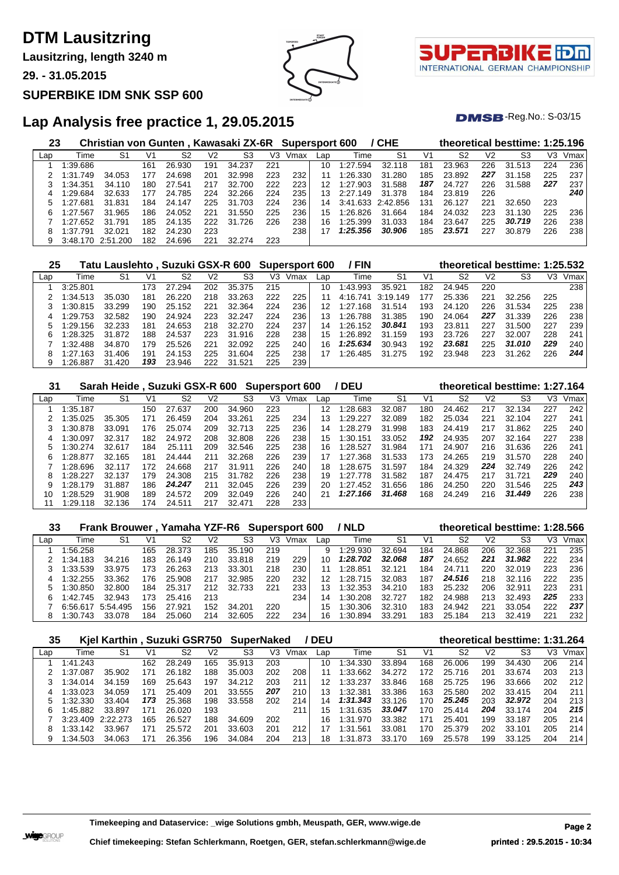# **DTM Lausitzring**

**Lausitzring, length 3240 m**

**29. - 31.05.2015**

### **SUPERBIKE IDM SNK SSP 600**



τ INTERNATIONAL GERMAN CHAMPIONSHIP

 $DMSB$ -Reg.No.:  $S-03/15$ 

## **Lap Analysis free practice 1, 29.05.2015**

| 23  |          | Christian von Gunten, Kawasaki ZX-6R Supersport 600 |     |        |     |        |     |      |     |          | / CHE             |     |        |                | theoretical besttime: 1:25.196 |     |      |
|-----|----------|-----------------------------------------------------|-----|--------|-----|--------|-----|------|-----|----------|-------------------|-----|--------|----------------|--------------------------------|-----|------|
| Lap | Time     | S1                                                  | V1  | S2     | V2  | S3     | V3  | Vmax | Lap | Time     | S1                | V1  | S2     | V <sub>2</sub> | S3                             | VЗ  | Vmax |
|     | 1:39.686 |                                                     | 161 | 26.930 | 191 | 34.237 | 221 |      | 10  | 1:27.594 | 32.118            | 181 | 23.963 | 226            | 31.513                         | 224 | 236  |
|     | 1:31.749 | 34.053                                              | 177 | 24.698 | 201 | 32.998 | 223 | 232  |     | 1:26.330 | 31.280            | 185 | 23.892 | 227            | 31<br>.158                     | 225 | 237  |
|     | 1:34.351 | 34.110                                              | 180 | 27.541 | 217 | 32.700 | 222 | 223  | 12  | 1:27.903 | 31.588            | 187 | 24.727 | 226            | 31.588                         | 227 | 237  |
| 4   | 1:29.684 | 32.633                                              | 177 | 24.785 | 224 | 32.266 | 224 | 235  | 13  | 2:27.149 | 31.378            | 184 | 23.819 | 226            |                                |     | 240  |
| 5   | 1:27.681 | 31.831                                              | 184 | 24.147 | 225 | 31.703 | 224 | 236  | 14  |          | 3:41.633 2:42.856 | 131 | 26.127 | 221            | 32.650                         | 223 |      |
| 6   | 1:27.567 | 31.965                                              | 186 | 24.052 | 221 | 31.550 | 225 | 236  | 15  | 1:26.826 | 31.664            | 184 | 24.032 | 223            | 31.130                         | 225 | 236  |
|     | 1:27.652 | 31.791                                              | 185 | 24.135 | 222 | 31.726 | 226 | 238  | 16  | 1:25.399 | 31.033            | 184 | 23.647 | 225            | 30.719                         | 226 | 238  |
| 8   | 1:37.791 | 32.021                                              | 182 | 24.230 | 223 |        |     | 238  | 17  | 1:25.356 | 30.906            | 185 | 23.571 | 227            | 30.879                         | 226 | 238  |
| 9   | 3:48.170 | 2:51<br>.200                                        | 182 | 24.696 | 221 | 32.274 | 223 |      |     |          |                   |     |        |                |                                |     |      |

| 25  |          | Tatu Lauslehto , Suzuki GSX-R 600 |     |        |     |             |     | <b>Supersport 600</b> |     | / FIN    |          |     |        |     | theoretical besttime: 1:25.532 |     |      |
|-----|----------|-----------------------------------|-----|--------|-----|-------------|-----|-----------------------|-----|----------|----------|-----|--------|-----|--------------------------------|-----|------|
| Lap | Time     | S1                                | V1  | S2     | V2  | S3          | V3  | Vmax                  | Lap | Time     | -S1      | V1  | S2     | V2  | S3                             | VЗ  | Vmax |
|     | 3:25.801 |                                   | 173 | 27.294 | 202 | 35.375      | 215 |                       | 10  | 1:43.993 | 35.921   | 182 | 24.945 | 220 |                                |     | 238  |
|     | 1:34.513 | 35.030                            | 181 | 26.220 | 218 | 33.263      | 222 | 225                   | 11  | 4:16.741 | 3:19.149 | 177 | 25.336 | 221 | 32.256                         | 225 |      |
|     | 1:30.815 | 33.299                            | 190 | 25.152 | 221 | 32.364      | 224 | 236                   | 12  | 1:27.168 | 31.514   | 193 | 24.120 | 226 | 31.534                         | 225 | 238  |
| 4   | 1:29.753 | 32.582                            | 190 | 24.924 | 223 | 32.247      | 224 | 236                   | 13  | 1:26.788 | 31.385   | 190 | 24.064 | 227 | 31.339                         | 226 | 238  |
|     | 1:29.156 | 32.233                            | 181 | 24.653 | 218 | 32.270      | 224 | 237                   | 14  | 1:26.152 | 30.841   | 193 | 23.811 | 227 | 31.500                         | 227 | 239  |
| 6   | 1:28.325 | 31.872                            | 188 | 24.537 | 223 | 31.916      | 228 | 238                   | 15  | 1:26.892 | 31.159   | 193 | 23.726 | 227 | 32.007                         | 228 | 241  |
|     | 1:32.488 | 34.870                            | 179 | 25.526 | 221 | 32.092      | 225 | 240                   | 16  | 1:25.634 | 30.943   | 192 | 23.681 | 225 | 31.010                         | 229 | 240  |
| 8   | 1:27.163 | 31.406                            | 191 | 24.153 | 225 | 31.604      | 225 | 238                   | 17  | 1:26.485 | 31.275   | 192 | 23.948 | 223 | 31.262                         | 226 | 244  |
| 9   | 1:26.887 | 31.420                            | 193 | 23.946 | 222 | 31.<br>.521 | 225 | 239                   |     |          |          |     |        |     |                                |     |      |

| 31  |          | Sarah Heide, Suzuki GSX-R 600 |                |        |     |             |     | Supersport 600 |     | ' DEU    |                |     |                |                | theoretical besttime: 1:27.164 |     |      |
|-----|----------|-------------------------------|----------------|--------|-----|-------------|-----|----------------|-----|----------|----------------|-----|----------------|----------------|--------------------------------|-----|------|
| Lap | Time     | S1                            | V <sup>1</sup> | S2     | V2  | S3          | V3  | Vmax           | Lap | Time     | S <sub>1</sub> | V1  | S <sub>2</sub> | V <sub>2</sub> | S3                             | V3  | Vmax |
|     | 1:35.187 |                               | 150            | 27.637 | 200 | 34.960      | 223 |                | 12  | 1:28.683 | 32.087         | 180 | 24.462         | 217            | 32.134                         | 227 | 242  |
|     | 1:35.025 | 35.305                        | 171            | 26.459 | 204 | 33.261      | 225 | 234            | 13  | 1:29.227 | 32.089         | 182 | 25.034         | 221            | 32.104                         | 227 | 241  |
| 3   | 1:30.878 | 33.091                        | 176            | 25.074 | 209 | 32.713      | 225 | 236            | 14  | 1:28.279 | 31.998         | 183 | 24.419         | 217            | 31.862                         | 225 | 240  |
| 4   | 1:30.097 | 32.317                        | 182.           | 24.972 | 208 | 32.808      | 226 | 238            | 15  | 1:30.151 | 33.052         | 192 | 24.935         | 207            | 32.164                         | 227 | 238  |
|     | 1:30.274 | 32.617                        | 184            | 25.111 | 209 | 32.546      | 225 | 238            | 16  | 1:28.527 | 31.984         | 171 | 24.907         | 216            | 31.636                         | 226 | 241  |
| 6   | 1:28.877 | 32.165                        | 181            | 24,444 | 211 | 32.268      | 226 | 239            | 17  | 1:27.368 | 31.533         | 173 | 24.265         | 219            | 31.570                         | 228 | 240  |
|     | 1:28.696 | 32.117                        | 172            | 24.668 | 217 | 31.911      | 226 | 240            | 18  | 1:28.675 | 31.597         | 184 | 24.329         | 224            | 32.749                         | 226 | 242  |
| 8   | 1:28.227 | 32.137                        | 179            | 24.308 | 215 | .782<br>31. | 226 | 238            | 19  | 1:27.778 | 31.582         | 187 | 24.475         | 217            | 31.721                         | 229 | 240  |
| 9   | 1:28.179 | 31.887                        | 186            | 24.247 | 211 | 32.045      | 226 | 239            | 20  | 1:27.452 | 31.656         | 186 | 24.250         | 220            | 31.546                         | 225 | 243  |
| 10  | 1:28.529 | 31.908                        | 189            | 24.572 | 209 | 32.049      | 226 | 240            | 21  | 1:27.166 | 31.468         | 168 | 24.249         | 216            | 31.449                         | 226 | 238  |
| 11  | 1:29.118 | 32.136                        | 174            | 24.511 | 217 | 32.471      | 228 | 233            |     |          |                |     |                |                |                                |     |      |

| 33  |          | Frank Brouwer, Yamaha YZF-R6 Supersport 600 |     |        |                |             |     |      |     | / NLD    |        |     |        |                | theoretical besttime: 1:28.566 |     |      |
|-----|----------|---------------------------------------------|-----|--------|----------------|-------------|-----|------|-----|----------|--------|-----|--------|----------------|--------------------------------|-----|------|
| Lap | Time     | S1                                          | ۷1  | S2     | V <sub>2</sub> | S3          | V3  | Vmax | Lap | Time     | S1     | V٬  | S2     | V <sub>2</sub> | S3                             | V3  | Vmax |
|     | 1:56.258 |                                             | 165 | 28.373 | 185            | 35.<br>.190 | 219 |      | 9   | 1:29.930 | 32.694 | 184 | 24.868 | 206            | 32.368                         | 221 | 235  |
|     | 1:34.183 | 34.216                                      | 183 | 26.149 | 210            | 33.818      | 219 | 229  | 10  | 1:28.702 | 32.068 | 187 | 24.652 | 221            | 31.982                         | 222 | 234  |
|     | 1:33.539 | 33.975                                      | 73  | 26.263 | 213            | 33.301      | 218 | 230  | 11  | 1:28.851 | 32.121 | 184 | 24.711 | 220            | 32.019                         | 223 | 236  |
|     | 1:32.255 | 33.362                                      | 176 | 25.908 | 217            | 32.985      | 220 | 232  | 12  | 1:28.715 | 32.083 | 187 | 24.516 | 218            | 32.116                         | 222 | 235  |
|     | 1:30.850 | 32.800                                      | 184 | 25.317 | 212            | 32.733      | 221 | 233  |     | 1:32.353 | 34.210 | 183 | 25.232 | 206            | 32.91                          | 223 | 231  |
| 6   | 1:42.745 | 32.943                                      | 173 | 25.416 | 213            |             |     | 234  | 14  | 1:30.208 | 32.727 | 182 | 24.988 | 213            | 32.493                         | 225 | 233  |
|     | 6:56.617 | 5:54.495                                    | 156 | 27.921 | 152            | 34.201      | 220 |      | 15  | 1:30.306 | 32.310 | 183 | 24.942 | 221            | 33.054                         | 222 | 237  |
| 8   | 1:30.743 | 33.078                                      | 184 | 25.060 | 214            | 32.605      | 222 | 234  | 16  | 1:30.894 | 33.291 | 183 | 25.184 | 213            | 32.419                         | 221 | 232  |

| 35  |          | Kjel Karthin, Suzuki GSR750 |     |        |     | <b>SuperNaked</b> |     |      | <b>DEU</b> |          |        |     |        |     | theoretical besttime: 1:31.264 |     |      |
|-----|----------|-----------------------------|-----|--------|-----|-------------------|-----|------|------------|----------|--------|-----|--------|-----|--------------------------------|-----|------|
| Lap | Time     | S1                          | V1  | S2     | V2  | S3                | V3  | Vmax | Lap        | Time     | S1     | V1  | S2     | V2  | S3                             | VЗ  | Vmax |
|     | 1:41.243 |                             | 162 | 28.249 | 165 | 35.913            | 203 |      | 10         | 1:34.330 | 33.894 | 168 | 26,006 | 199 | 34.430                         | 206 | 214  |
|     | 1:37.087 | 35.902                      | 171 | 26.182 | 188 | 35.003            | 202 | 208  | 11         | 1:33.662 | 34.272 | 172 | 25.716 | 201 | 33.674                         | 203 | 213  |
|     | 1:34.014 | 34.159                      | 169 | 25.643 | 197 | 34.212            | 203 | 211  | 12         | 1:33.237 | 33.846 | 168 | 25.725 | 196 | 33.666                         | 202 | 212  |
|     | 1:33.023 | 34.059                      | 171 | 25.409 | 201 | 33.555            | 207 | 210  | 13         | 1:32.381 | 33.386 | 163 | 25.580 | 202 | 33.415                         | 204 | 211  |
|     | 1:32.330 | 33.404                      | 173 | 25.368 | 198 | 33.558            | 202 | 214  | 14         | 1:31.343 | 33.126 | 170 | 25.245 | 203 | 32.972                         | 204 | 213  |
| 6   | 1:45.882 | 33.897                      | 171 | 26.020 | 193 |                   |     | 211  | 15         | 1:31.635 | 33.047 | 170 | 25.414 | 204 | 33.174                         | 204 | 215  |
|     | 3:23.409 | 2:22.273                    | 165 | 26.527 | 188 | 34.609            | 202 |      | 16         | 1:31.970 | 33.382 | 171 | 25.401 | 199 | 33.187                         | 205 | 214  |
| 8   | 1:33.142 | 33.967                      | 71، | 25.572 | 201 | 33.603            | 201 | 212  |            | 1:31.561 | 33.081 | 170 | 25.379 | 202 | 33.101                         | 205 | 214  |
| 9   | 1:34.503 | 34.063                      | 171 | 26.356 | 196 | 34.084            | 204 | 213  | 18         | 1:31.873 | 33.170 | 169 | 25.578 | 199 | 33.125                         | 204 | 214  |

**Timekeeping and Dataservice: \_wige Solutions gmbh, Meuspath, GER, www.wige.de Page 2**